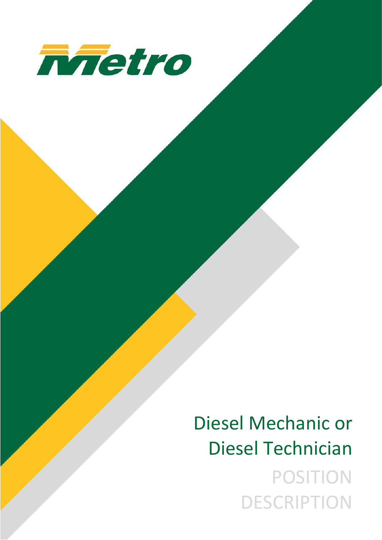

Diesel Mechanic or Diesel Technician POSITION DESCRIPTION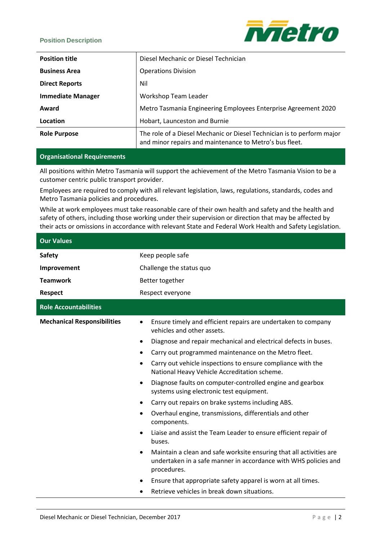#### **Position Description**



| <b>Position title</b>    | Diesel Mechanic or Diesel Technician                                                                                              |
|--------------------------|-----------------------------------------------------------------------------------------------------------------------------------|
| <b>Business Area</b>     | <b>Operations Division</b>                                                                                                        |
| <b>Direct Reports</b>    | Nil                                                                                                                               |
| <b>Immediate Manager</b> | Workshop Team Leader                                                                                                              |
| Award                    | Metro Tasmania Engineering Employees Enterprise Agreement 2020                                                                    |
| Location                 | Hobart, Launceston and Burnie                                                                                                     |
| <b>Role Purpose</b>      | The role of a Diesel Mechanic or Diesel Technician is to perform major<br>and minor repairs and maintenance to Metro's bus fleet. |

#### **Organisational Requirements**

All positions within Metro Tasmania will support the achievement of the Metro Tasmania Vision to be a customer centric public transport provider.

Employees are required to comply with all relevant legislation, laws, regulations, standards, codes and Metro Tasmania policies and procedures.

While at work employees must take reasonable care of their own health and safety and the health and safety of others, including those working under their supervision or direction that may be affected by their acts or omissions in accordance with relevant State and Federal Work Health and Safety Legislation.

| <b>Our Values</b>                  |                                                                                                                                                            |
|------------------------------------|------------------------------------------------------------------------------------------------------------------------------------------------------------|
| <b>Safety</b>                      | Keep people safe                                                                                                                                           |
| Improvement                        | Challenge the status quo                                                                                                                                   |
| <b>Teamwork</b>                    | Better together                                                                                                                                            |
| <b>Respect</b>                     | Respect everyone                                                                                                                                           |
| <b>Role Accountabilities</b>       |                                                                                                                                                            |
| <b>Mechanical Responsibilities</b> | Ensure timely and efficient repairs are undertaken to company<br>vehicles and other assets.                                                                |
|                                    | Diagnose and repair mechanical and electrical defects in buses.                                                                                            |
|                                    | Carry out programmed maintenance on the Metro fleet.                                                                                                       |
|                                    | Carry out vehicle inspections to ensure compliance with the<br>$\bullet$<br>National Heavy Vehicle Accreditation scheme.                                   |
|                                    | Diagnose faults on computer-controlled engine and gearbox<br>systems using electronic test equipment.                                                      |
|                                    | Carry out repairs on brake systems including ABS.<br>$\bullet$                                                                                             |
|                                    | Overhaul engine, transmissions, differentials and other<br>$\bullet$<br>components.                                                                        |
|                                    | Liaise and assist the Team Leader to ensure efficient repair of<br>$\bullet$<br>buses.                                                                     |
|                                    | Maintain a clean and safe worksite ensuring that all activities are<br>٠<br>undertaken in a safe manner in accordance with WHS policies and<br>procedures. |
|                                    | Ensure that appropriate safety apparel is worn at all times.                                                                                               |
|                                    | Retrieve vehicles in break down situations.<br>$\bullet$                                                                                                   |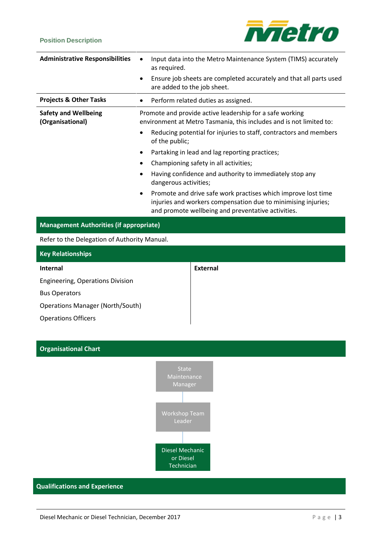## **Position Description**



| <b>Administrative Responsibilities</b>                                                                                                               | Input data into the Metro Maintenance System (TIMS) accurately<br>as required.<br>Ensure job sheets are completed accurately and that all parts used<br>$\bullet$<br>are added to the job sheet.                                                                                                                                                                                                                                                                                                                                                                                                                |
|------------------------------------------------------------------------------------------------------------------------------------------------------|-----------------------------------------------------------------------------------------------------------------------------------------------------------------------------------------------------------------------------------------------------------------------------------------------------------------------------------------------------------------------------------------------------------------------------------------------------------------------------------------------------------------------------------------------------------------------------------------------------------------|
| <b>Projects &amp; Other Tasks</b>                                                                                                                    | Perform related duties as assigned.<br>$\bullet$                                                                                                                                                                                                                                                                                                                                                                                                                                                                                                                                                                |
| <b>Safety and Wellbeing</b><br>(Organisational)                                                                                                      | Promote and provide active leadership for a safe working<br>environment at Metro Tasmania, this includes and is not limited to:<br>Reducing potential for injuries to staff, contractors and members<br>of the public;<br>Partaking in lead and lag reporting practices;<br>$\bullet$<br>Championing safety in all activities;<br>٠<br>Having confidence and authority to immediately stop any<br>dangerous activities;<br>Promote and drive safe work practises which improve lost time<br>injuries and workers compensation due to minimising injuries;<br>and promote wellbeing and preventative activities. |
| <b>Management Authorities (if appropriate)</b>                                                                                                       |                                                                                                                                                                                                                                                                                                                                                                                                                                                                                                                                                                                                                 |
| Refer to the Delegation of Authority Manual.                                                                                                         |                                                                                                                                                                                                                                                                                                                                                                                                                                                                                                                                                                                                                 |
| <b>Key Relationships</b>                                                                                                                             |                                                                                                                                                                                                                                                                                                                                                                                                                                                                                                                                                                                                                 |
| <b>Internal</b><br>Engineering, Operations Division<br><b>Bus Operators</b><br><b>Operations Manager (North/South)</b><br><b>Operations Officers</b> | <b>External</b>                                                                                                                                                                                                                                                                                                                                                                                                                                                                                                                                                                                                 |

# **Organisational Chart**



## **Qualifications and Experience**